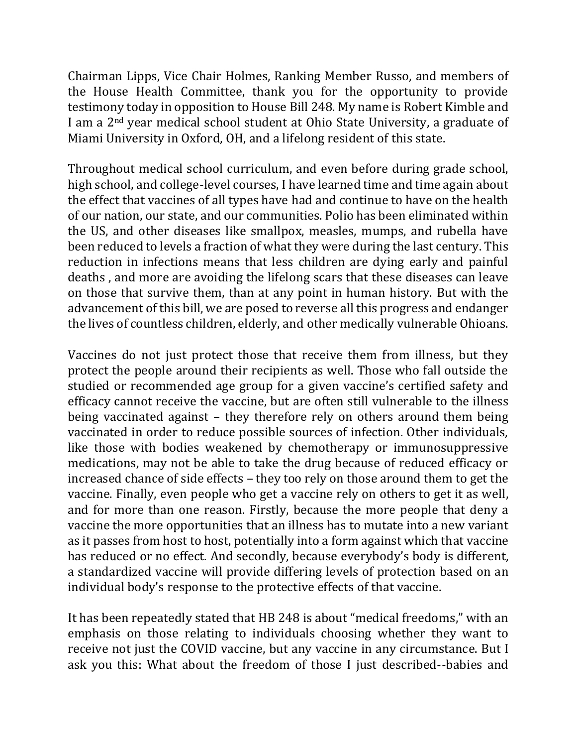Chairman Lipps, Vice Chair Holmes, Ranking Member Russo, and members of the House Health Committee, thank you for the opportunity to provide testimony today in opposition to House Bill 248. My name is Robert Kimble and I am a 2nd year medical school student at Ohio State University, a graduate of Miami University in Oxford, OH, and a lifelong resident of this state.

Throughout medical school curriculum, and even before during grade school, high school, and college-level courses, I have learned time and time again about the effect that vaccines of all types have had and continue to have on the health of our nation, our state, and our communities. Polio has been eliminated within the US, and other diseases like smallpox, measles, mumps, and rubella have been reduced to levels a fraction of what they were during the last century. This reduction in infections means that less children are dying early and painful deaths , and more are avoiding the lifelong scars that these diseases can leave on those that survive them, than at any point in human history. But with the advancement of this bill, we are posed to reverse all this progress and endanger the lives of countless children, elderly, and other medically vulnerable Ohioans.

Vaccines do not just protect those that receive them from illness, but they protect the people around their recipients as well. Those who fall outside the studied or recommended age group for a given vaccine's certified safety and efficacy cannot receive the vaccine, but are often still vulnerable to the illness being vaccinated against – they therefore rely on others around them being vaccinated in order to reduce possible sources of infection. Other individuals, like those with bodies weakened by chemotherapy or immunosuppressive medications, may not be able to take the drug because of reduced efficacy or increased chance of side effects – they too rely on those around them to get the vaccine. Finally, even people who get a vaccine rely on others to get it as well, and for more than one reason. Firstly, because the more people that deny a vaccine the more opportunities that an illness has to mutate into a new variant as it passes from host to host, potentially into a form against which that vaccine has reduced or no effect. And secondly, because everybody's body is different, a standardized vaccine will provide differing levels of protection based on an individual body's response to the protective effects of that vaccine.

It has been repeatedly stated that HB 248 is about "medical freedoms," with an emphasis on those relating to individuals choosing whether they want to receive not just the COVID vaccine, but any vaccine in any circumstance. But I ask you this: What about the freedom of those I just described--babies and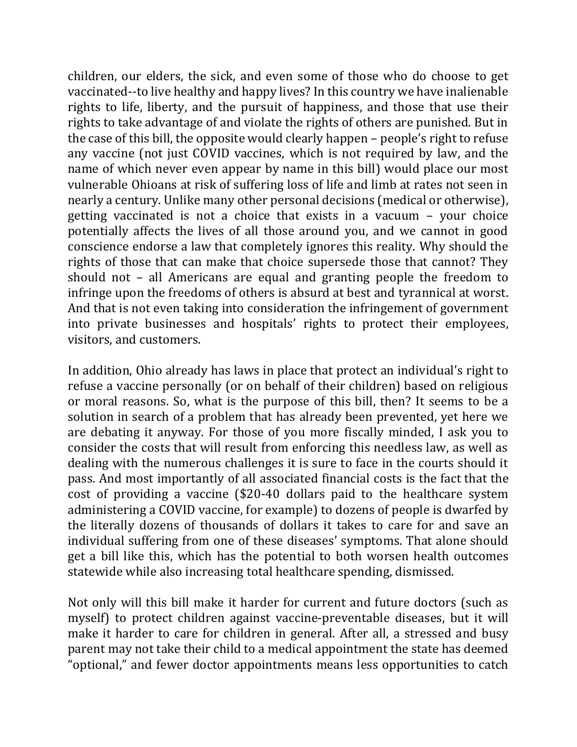children, our elders, the sick, and even some of those who do choose to get vaccinated--to live healthy and happy lives? In this country we have inalienable rights to life, liberty, and the pursuit of happiness, and those that use their rights to take advantage of and violate the rights of others are punished. But in the case of this bill, the opposite would clearly happen – people's right to refuse any vaccine (not just COVID vaccines, which is not required by law, and the name of which never even appear by name in this bill) would place our most vulnerable Ohioans at risk of suffering loss of life and limb at rates not seen in nearly a century. Unlike many other personal decisions (medical or otherwise), getting vaccinated is not a choice that exists in a vacuum – your choice potentially affects the lives of all those around you, and we cannot in good conscience endorse a law that completely ignores this reality. Why should the rights of those that can make that choice supersede those that cannot? They should not – all Americans are equal and granting people the freedom to infringe upon the freedoms of others is absurd at best and tyrannical at worst. And that is not even taking into consideration the infringement of government into private businesses and hospitals' rights to protect their employees, visitors, and customers.

In addition, Ohio already has laws in place that protect an individual's right to refuse a vaccine personally (or on behalf of their children) based on religious or moral reasons. So, what is the purpose of this bill, then? It seems to be a solution in search of a problem that has already been prevented, yet here we are debating it anyway. For those of you more fiscally minded, I ask you to consider the costs that will result from enforcing this needless law, as well as dealing with the numerous challenges it is sure to face in the courts should it pass. And most importantly of all associated financial costs is the fact that the cost of providing a vaccine (\$20-40 dollars paid to the healthcare system administering a COVID vaccine, for example) to dozens of people is dwarfed by the literally dozens of thousands of dollars it takes to care for and save an individual suffering from one of these diseases' symptoms. That alone should get a bill like this, which has the potential to both worsen health outcomes statewide while also increasing total healthcare spending, dismissed.

Not only will this bill make it harder for current and future doctors (such as myself) to protect children against vaccine-preventable diseases, but it will make it harder to care for children in general. After all, a stressed and busy parent may not take their child to a medical appointment the state has deemed "optional," and fewer doctor appointments means less opportunities to catch